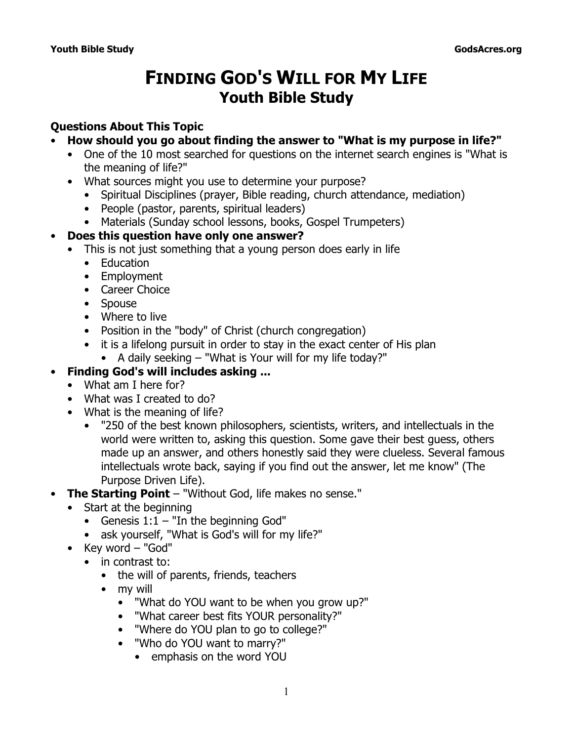# **FINDING GOD'S WILL FOR MY LIFE Youth Bible Study**

# **Questions About This Topic**

- **How should you go about finding the answer to "What is my purpose in life?"**
	- One of the 10 most searched for questions on the internet search engines is "What is the meaning of life?"
	- What sources might you use to determine your purpose?
		- Spiritual Disciplines (prayer, Bible reading, church attendance, mediation)
		- People (pastor, parents, spiritual leaders)
		- Materials (Sunday school lessons, books, Gospel Trumpeters)

#### • **Does this question have only one answer?**

- This is not just something that a young person does early in life
	- Education
	- Employment
	- Career Choice
	- Spouse
	- Where to live
	- Position in the "body" of Christ (church congregation)
	- it is a lifelong pursuit in order to stay in the exact center of His plan
		- A daily seeking "What is Your will for my life today?"

#### • **Finding God's will includes asking ...**

- What am I here for?
- What was I created to do?
- What is the meaning of life?
	- "250 of the best known philosophers, scientists, writers, and intellectuals in the world were written to, asking this question. Some gave their best guess, others made up an answer, and others honestly said they were clueless. Several famous intellectuals wrote back, saying if you find out the answer, let me know" (*The Purpose Driven Life*).
- **The Starting Point** *"Without God, life makes no sense."*
	- Start at the beginning
		- Genesis 1:1 "*In the beginning God"*
		- ask yourself, "What is *God's* will for my life?"
	- Key word "God"
		- in contrast to:
			- the will of parents, friends, teachers
			- my will
				- "What do YOU want to be when you grow up?"
				- "What career best fits YOUR personality?"
				- "Where do YOU plan to go to college?"
				- "Who do YOU want to marry?"
					- emphasis on the word YOU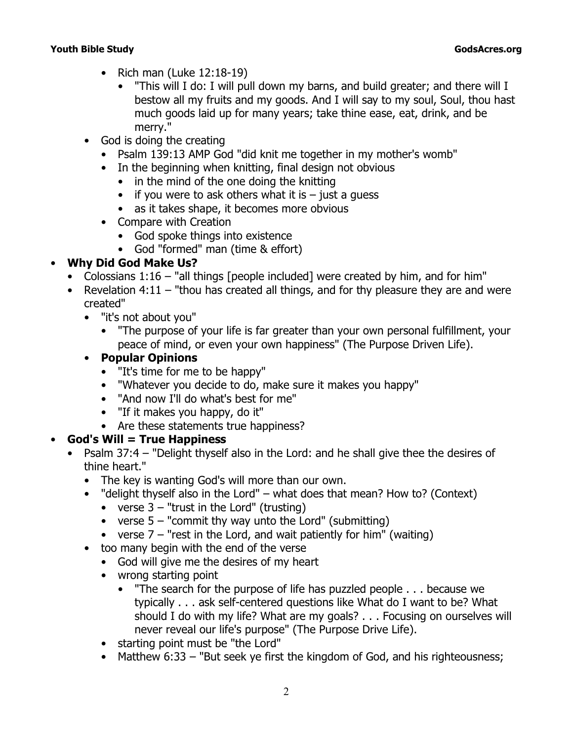- Rich man (Luke 12:18-19)
	- *"This will I do: I will pull down my barns, and build greater; and there will I bestow all my fruits and my goods. And I will say to my soul, Soul, thou hast much goods laid up for many years; take thine ease, eat, drink, and be merry."*
- God is doing the creating
	- Psalm 139:13 AMP God *"did knit me together in my mother's womb"*
	- In the beginning when knitting, final design not obvious
		- in the mind of the one doing the knitting
		- if you were to ask others what it is  $-$  just a guess
		- as it takes shape, it becomes more obvious
	- Compare with Creation
		- God spoke things into existence
		- God "formed" man (time & effort)

#### • **Why Did God Make Us?**

- Colossians 1:16  *"all things* [people included] *were created by him, and for him"*
- Revelation 4:11  *"thou has created all things, and for thy pleasure they are and were created"*
	- "it's not about you"
		- "The purpose of your life is far greater than your own personal fulfillment, your peace of mind, or even your own happiness" (*The Purpose Driven Life*).

# • **Popular Opinions**

- "It's time for me to be happy"
- "Whatever you decide to do, make sure it makes you happy"
- "And now I'll do what's best for me"
- "If it makes you happy, do it"
- Are these statements true happiness?

# • **God's Will = True Happiness**

- Psalm 37:4  *"Delight thyself also in the Lord: and he shall give thee the desires of thine heart."*
	- The key is wanting God's will more than our own.
	- *"delight thyself also in the Lord"*  what does that mean? How to? (Context)
		- verse 3  *"trust in the Lord"* (trusting)
		- verse 5  *"commit thy way unto the Lord"* (submitting)
		- verse 7  *"rest in the Lord, and wait patiently for him"* (waiting)
	- too many begin with the end of the verse
		- God will give me the desires of my heart
		- wrong starting point
			- "The search for the purpose of life has puzzled people . . . because we typically . . . ask self-centered questions like What do I want to be? What should I do with my life? What are my goals? . . . Focusing on ourselves will never reveal our life's purpose" (*The Purpose Drive Life*).
		- starting point must be "the Lord"
		- Matthew 6:33  *"But seek ye first the kingdom of God, and his righteousness;*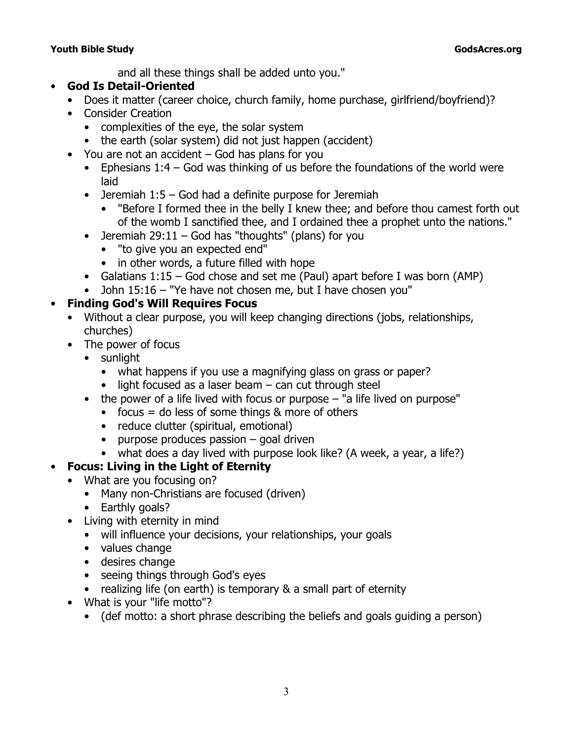*and all these things shall be added unto you."*

#### • **God Is Detail-Oriented**

- Does it matter (career choice, church family, home purchase, girlfriend/boyfriend)?
- Consider Creation
	- complexities of the eye, the solar system
	- the earth (solar system) did not just happen (accident)
- You are not an accident God has plans for you
	- Ephesians 1:4 God was thinking of us before the foundations of the world were laid
	- Jeremiah 1:5 God had a definite purpose for Jeremiah
		- *"Before I formed thee in the belly I knew thee; and before thou camest forth out of the womb I sanctified thee, and I ordained thee a prophet unto the nations."*
	- Jeremiah  $29:11 God$  has "thoughts" (plans) for you
		- "to give you an expected end"
		- in other words, a future filled with hope
	- Galatians 1:15 God chose and set me (Paul) apart before I was born (AMP)
	- John 15:16  *"Ye have not chosen me, but I have chosen you"*

# • **Finding God's Will Requires Focus**

- Without a clear purpose, you will keep changing directions (jobs, relationships, churches)
- The power of focus
	- sunlight
		- what happens if you use a magnifying glass on grass or paper?
		- $\bullet$  light focused as a laser beam  $-$  can cut through steel
	- the power of a life lived with focus or purpose "a life lived on purpose"
		- $\bullet$  focus = do less of some things & more of others
		- reduce clutter (spiritual, emotional)
		- purpose produces passion goal driven
		- what does a day lived with purpose look like? (A week, a year, a life?)

# • **Focus: Living in the Light of Eternity**

- What are you focusing on?
	- Many non-Christians are focused (driven)
	- Earthly goals?
- Living with eternity in mind
	- will influence your decisions, your relationships, your goals
	- values change
	- desires change
	- seeing things through God's eyes
	- realizing life (on earth) is temporary & a small part of eternity
- What is your "life motto"?
	- (def motto: a short phrase describing the beliefs and goals guiding a person)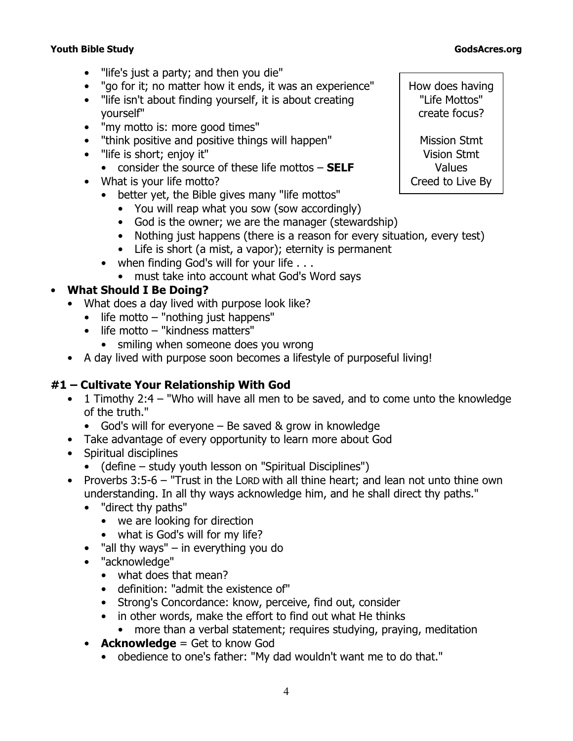- "life's just a party; and then you die"
- "go for it; no matter how it ends, it was an experience"
- "life isn't about finding yourself, it is about creating yourself"
- "my motto is: more good times"
- "think positive and positive things will happen"
- "life is short; enjoy it"
	- consider the source of these life mottos **SELF**
- What is your life motto?
	- better yet, the Bible gives many "life mottos"
		- You will reap what you sow (sow accordingly)
		- God is the owner; we are the manager (stewardship)
		- Nothing just happens (there is a reason for every situation, every test)
		- Life is short (a mist, a vapor); eternity is permanent
	- when finding God's will for your life . . .
	- must take into account what God's Word says

#### • **What Should I Be Doing?**

- What does a day lived with purpose look like?
	- life motto "nothing just happens"
	- life motto "kindness matters"
		- smiling when someone does you wrong
- A day lived with purpose soon becomes a lifestyle of purposeful living!

#### **#1 – Cultivate Your Relationship With God**

- 1 Timothy 2:4  *"Who will have all men to be saved, and to come unto the knowledge of the truth."*
	- God's will for everyone Be saved & grow in knowledge
- Take advantage of every opportunity to learn more about God
- Spiritual disciplines
	- (define study youth lesson on "Spiritual Disciplines")
- Proverbs 3:5-6 *"Trust in the L*ORD *with all thine heart; and lean not unto thine own understanding. In all thy ways acknowledge him, and he shall direct thy paths."*
	- *"direct thy paths"* 
		- we are looking for direction
		- what is God's will for my life?
	- *"all thy ways"*  in everything you do
	- *"acknowledge"* 
		- what does that mean?
		- definition: "admit the existence of"
		- *Strong's Concordance*: know, perceive, find out, consider
		- in other words, make the effort to find out what He thinks
			- more than a verbal statement; requires studying, praying, meditation
	- **Acknowledge** = Get to know God
		- obedience to one's father: "My dad wouldn't want me to do that."

How does having "Life Mottos" create focus?

Mission Stmt Vision Stmt Values Creed to Live By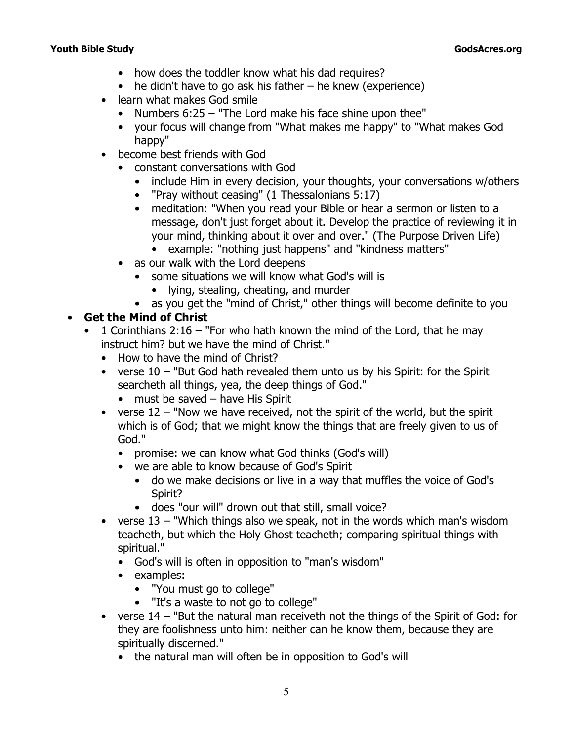- how does the toddler know what his dad requires?
- $\bullet$  he didn't have to go ask his father he knew (experience)
- learn what makes God smile
	- Numbers 6:25  *"The Lord make his face shine upon thee"*
	- your focus will change from "What makes me happy" to "What makes God happy"
- become best friends with God
	- constant conversations with God
		- include Him in every decision, your thoughts, your conversations w/others
		- *"Pray without ceasing"* (1 Thessalonians 5:17)
		- meditation: "When you read your Bible or hear a sermon or listen to a message, don't just forget about it. Develop the practice of reviewing it in your mind, thinking about it over and over." (*The Purpose Driven Life*)
			- example: "nothing just happens" and "kindness matters"
	- as our walk with the Lord deepens
		- some situations we will know what God's will is
			- lying, stealing, cheating, and murder
	- as you get the "mind of Christ," other things will become definite to you

#### • **Get the Mind of Christ**

- 1 Corinthians 2:16  *"For who hath known the mind of the Lord, that he may instruct him? but we have the mind of Christ."*
	- How to have the mind of Christ?
	- verse 10  *"But God hath revealed them unto us by his Spirit: for the Spirit searcheth all things, yea, the deep things of God."*
		- must be saved have His Spirit
	- verse 12  *"Now we have received, not the spirit of the world, but the spirit which is of God; that we might know the things that are freely given to us of God."*
		- promise: we can know what God thinks (God's will)
		- we are able to know because of God's Spirit
			- do we make decisions or live in a way that muffles the voice of God's Spirit?
			- does "our will" drown out that still, small voice?
	- verse 13  *"Which things also we speak, not in the words which man's wisdom teacheth, but which the Holy Ghost teacheth; comparing spiritual things with spiritual."*
		- God's will is often in opposition to "man's wisdom"
		- examples:
			- "You must go to college"
			- "It's a waste to not go to college"
	- verse 14  *"But the natural man receiveth not the things of the Spirit of God: for they are foolishness unto him: neither can he know them, because they are spiritually discerned."*
		- the natural man will often be in opposition to God's will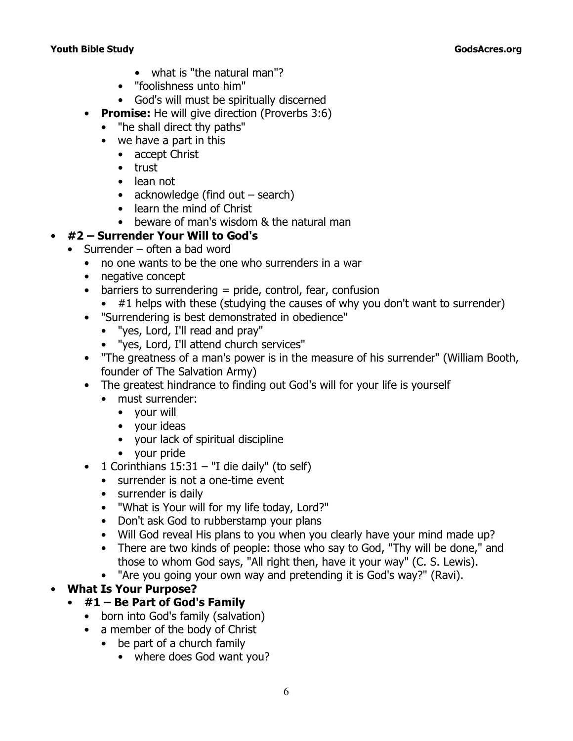- what is *"the natural man"*?
- "*foolishness unto him"*
- God's will must be spiritually discerned
- **Promise:** He will give direction (Proverbs 3:6)
	- *"he shall direct thy paths"*
	- we have a part in this
		- accept Christ
		- trust
		- lean not
		- acknowledge (find out search)
		- learn the mind of Christ
		- beware of man's wisdom & the natural man

# • **#2 – Surrender Your Will to God's**

- Surrender often a bad word
	- no one wants to be the one who surrenders in a war
	- negative concept
	- $\bullet$  barriers to surrendering = pride, control, fear, confusion
		- #1 helps with these (studying the causes of why you don't want to surrender)
	- "Surrendering is best demonstrated in obedience"
		- "yes, Lord, I'll read and pray"
		- "yes, Lord, I'll attend church services"
	- "The greatness of a man's power is in the measure of his surrender" (William Booth, founder of The Salvation Army)
	- The greatest hindrance to finding out God's will for your life is yourself
		- must surrender:
			- your will
			- your ideas
			- your lack of spiritual discipline
			- your pride
	- 1 Corinthians 15:31  *"I die daily"* (to self)
		- surrender is not a one-time event
		- surrender is daily
		- "What is Your will for my life today, Lord?"
		- Don't ask God to rubberstamp your plans
		- Will God reveal His plans to you when you clearly have your mind made up?
		- There are two kinds of people: those who say to God, "Thy will be done," and those to whom God says, "All right then, have it your way" (C. S. Lewis).
		- "Are you going your own way and pretending it is God's way?" (Ravi).

# • **What Is Your Purpose?**

# • **#1 – Be Part of God's Family**

- born into God's family (salvation)
- a member of the body of Christ
	- be part of a church family
		- where does God want you?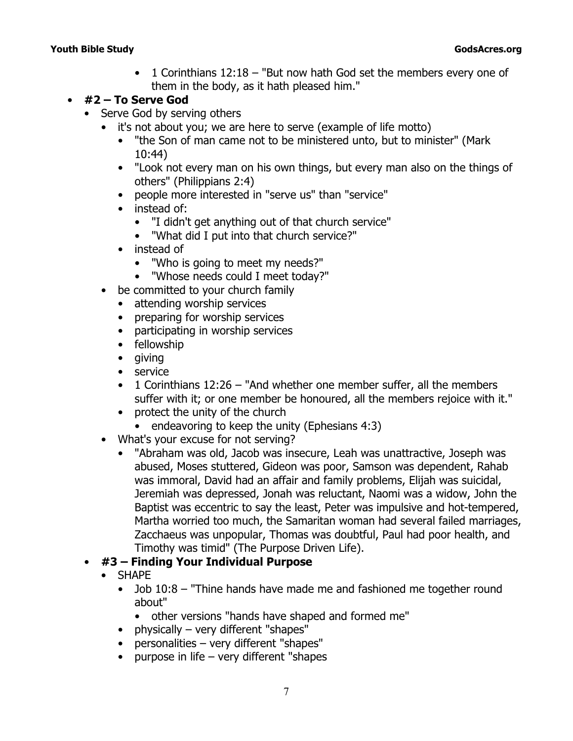• 1 Corinthians 12:18 *– "But now hath God set the members every one of them in the body, as it hath pleased him."*

#### • **#2 – To Serve God**

- Serve God by serving others
	- it's not about you; we are here to serve (example of life motto)
		- *"the Son of man came not to be ministered unto, but to minister"* (Mark 10:44)
		- *"Look not every man on his own things, but every man also on the things of others"* (Philippians 2:4)
		- people more interested in "serve us" than "service"
		- instead of:
			- "I didn't get anything out of that church service"
			- "What did I put into that church service?"
		- instead of
			- "Who is going to meet my needs?"
			- "Whose needs could I meet today?"
	- be committed to your church family
		- attending worship services
		- preparing for worship services
		- participating in worship services
		- fellowship
		- giving
		- service
		- 1 Corinthians 12:26  *"And whether one member suffer, all the members suffer with it; or one member be honoured, all the members rejoice with it."*
		- protect the unity of the church
			- endeavoring to keep the unity (Ephesians 4:3)
	- What's your excuse for not serving?
		- "Abraham was old, Jacob was insecure, Leah was unattractive, Joseph was abused, Moses stuttered, Gideon was poor, Samson was dependent, Rahab was immoral, David had an affair and family problems, Elijah was suicidal, Jeremiah was depressed, Jonah was reluctant, Naomi was a widow, John the Baptist was eccentric to say the least, Peter was impulsive and hot-tempered, Martha worried too much, the Samaritan woman had several failed marriages, Zacchaeus was unpopular, Thomas was doubtful, Paul had poor health, and Timothy was timid" (*The Purpose Driven Life*).

# • **#3 – Finding Your Individual Purpose**

- SHAPE
	- Job 10:8  *"Thine hands have made me and fashioned me together round about"*
		- other versions *"hands have shaped and formed me"*
	- physically very different "shapes"
	- personalities very different "shapes"
	- purpose in life very different "shapes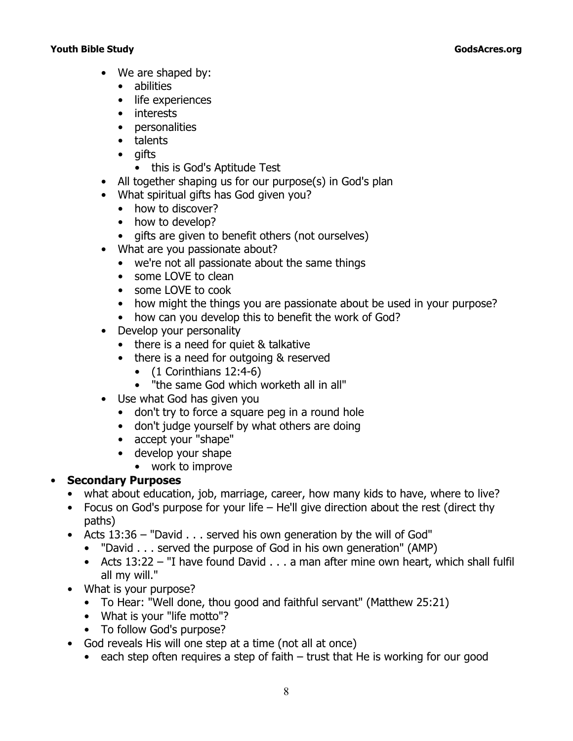- We are shaped by:
	- abilities
	- life experiences
	- interests
	- personalities
	- talents
	- gifts
		- this is God's Aptitude Test
- All together shaping us for our purpose(s) in God's plan
- What spiritual gifts has God given you?
	- how to discover?
	- how to develop?
	- gifts are given to benefit others (not ourselves)
- What are you passionate about?
	- we're not all passionate about the same things
	- some LOVE to clean
	- some LOVE to cook
	- how might the things you are passionate about be used in your purpose?
	- how can you develop this to benefit the work of God?
- Develop your personality
	- there is a need for quiet & talkative
	- there is a need for outgoing & reserved
		- $\bullet$  (1 Corinthians 12:4-6)
		- *"the same God which worketh all in all"*
- Use what God has given you
	- don't try to force a square peg in a round hole
	- don't judge yourself by what others are doing
	- accept your "shape"
	- develop your shape
		- work to improve

# • **Secondary Purposes**

- what about education, job, marriage, career, how many kids to have, where to live?
- Focus on God's purpose for your life He'll give direction about the rest (direct thy paths)
- Acts 13:36  *"David . . . served his own generation by the will of God"*
	- *"David . . . served the purpose of God in his own generation"* (AMP)
	- Acts 13:22  *"I have found David . . . a man after mine own heart, which shall fulfil all my will."*
- What is your purpose?
	- To Hear: "Well done, thou good and faithful servant" (Matthew 25:21)
	- What is your "life motto"?
	- To follow God's purpose?
- God reveals His will one step at a time (not all at once)
	- each step often requires a step of faith trust that He is working for our good